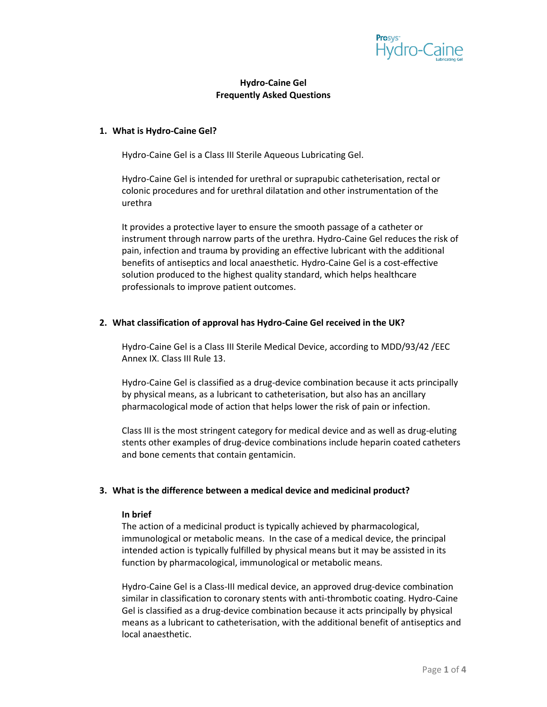

# **Hydro-Caine Gel Frequently Asked Questions**

#### **1. What is Hydro-Caine Gel?**

Hydro-Caine Gel is a Class III Sterile Aqueous Lubricating Gel.

Hydro-Caine Gel is intended for urethral or suprapubic catheterisation, rectal or colonic procedures and for urethral dilatation and other instrumentation of the urethra

It provides a protective layer to ensure the smooth passage of a catheter or instrument through narrow parts of the urethra. Hydro-Caine Gel reduces the risk of pain, infection and trauma by providing an effective lubricant with the additional benefits of antiseptics and local anaesthetic. Hydro-Caine Gel is a cost-effective solution produced to the highest quality standard, which helps healthcare professionals to improve patient outcomes.

## **2. What classification of approval has Hydro-Caine Gel received in the UK?**

Hydro-Caine Gel is a Class III Sterile Medical Device, according to MDD/93/42 /EEC Annex IX. Class III Rule 13.

Hydro-Caine Gel is classified as a drug-device combination because it acts principally by physical means, as a lubricant to catheterisation, but also has an ancillary pharmacological mode of action that helps lower the risk of pain or infection.

Class III is the most stringent category for medical device and as well as drug-eluting stents other examples of drug-device combinations include heparin coated catheters and bone cements that contain gentamicin.

#### **3. What is the difference between a medical device and medicinal product?**

#### **In brief**

The action of a medicinal product is typically achieved by pharmacological, immunological or metabolic means. In the case of a medical device, the principal intended action is typically fulfilled by physical means but it may be assisted in its function by pharmacological, immunological or metabolic means.

Hydro-Caine Gel is a Class-III medical device, an approved drug-device combination similar in classification to coronary stents with anti-thrombotic coating. Hydro-Caine Gel is classified as a drug-device combination because it acts principally by physical means as a lubricant to catheterisation, with the additional benefit of antiseptics and local anaesthetic.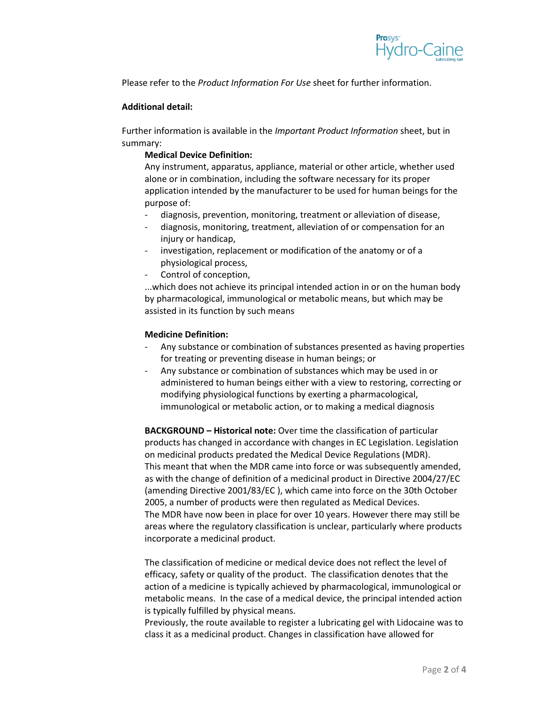

Please refer to the *Product Information For Use* sheet for further information.

## **Additional detail:**

Further information is available in the *Important Product Information* sheet, but in summary:

# **Medical Device Definition:**

Any instrument, apparatus, appliance, material or other article, whether used alone or in combination, including the software necessary for its proper application intended by the manufacturer to be used for human beings for the purpose of:

- diagnosis, prevention, monitoring, treatment or alleviation of disease,
- diagnosis, monitoring, treatment, alleviation of or compensation for an injury or handicap,
- investigation, replacement or modification of the anatomy or of a physiological process,
- Control of conception,

...which does not achieve its principal intended action in or on the human body by pharmacological, immunological or metabolic means, but which may be assisted in its function by such means

## **Medicine Definition:**

- Any substance or combination of substances presented as having properties for treating or preventing disease in human beings; or
- Any substance or combination of substances which may be used in or administered to human beings either with a view to restoring, correcting or modifying physiological functions by exerting a pharmacological, immunological or metabolic action, or to making a medical diagnosis

**BACKGROUND – Historical note:** Over time the classification of particular products has changed in accordance with changes in EC Legislation. Legislation on medicinal products predated the Medical Device Regulations (MDR). This meant that when the MDR came into force or was subsequently amended, as with the change of definition of a medicinal product in Directive 2004/27/EC (amending Directive 2001/83/EC ), which came into force on the 30th October 2005, a number of products were then regulated as Medical Devices. The MDR have now been in place for over 10 years. However there may still be areas where the regulatory classification is unclear, particularly where products incorporate a medicinal product.

The classification of medicine or medical device does not reflect the level of efficacy, safety or quality of the product. The classification denotes that the action of a medicine is typically achieved by pharmacological, immunological or metabolic means. In the case of a medical device, the principal intended action is typically fulfilled by physical means.

Previously, the route available to register a lubricating gel with Lidocaine was to class it as a medicinal product. Changes in classification have allowed for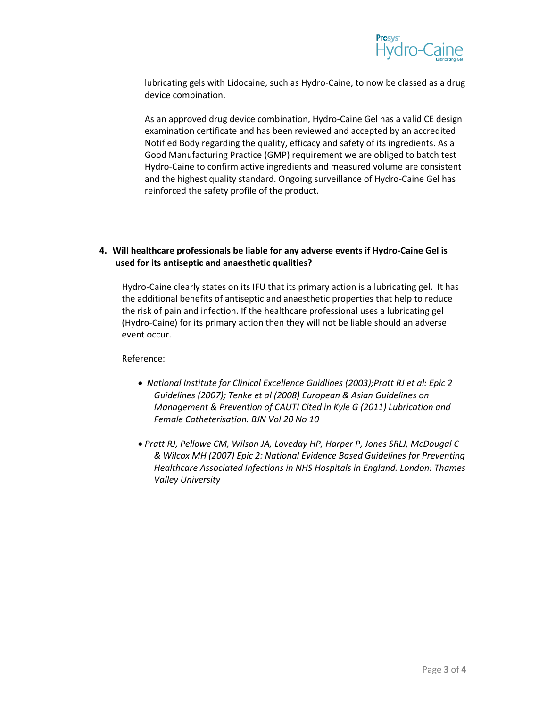

lubricating gels with Lidocaine, such as Hydro-Caine, to now be classed as a drug device combination.

As an approved drug device combination, Hydro-Caine Gel has a valid CE design examination certificate and has been reviewed and accepted by an accredited Notified Body regarding the quality, efficacy and safety of its ingredients. As a Good Manufacturing Practice (GMP) requirement we are obliged to batch test Hydro-Caine to confirm active ingredients and measured volume are consistent and the highest quality standard. Ongoing surveillance of Hydro-Caine Gel has reinforced the safety profile of the product.

# **4. Will healthcare professionals be liable for any adverse events if Hydro-Caine Gel is used for its antiseptic and anaesthetic qualities?**

Hydro-Caine clearly states on its IFU that its primary action is a lubricating gel. It has the additional benefits of antiseptic and anaesthetic properties that help to reduce the risk of pain and infection. If the healthcare professional uses a lubricating gel (Hydro-Caine) for its primary action then they will not be liable should an adverse event occur.

Reference:

- *National Institute for Clinical Excellence Guidlines (2003);Pratt RJ et al: Epic 2 Guidelines (2007); Tenke et al (2008) European & Asian Guidelines on Management & Prevention of CAUTI Cited in Kyle G (2011) Lubrication and Female Catheterisation. BJN Vol 20 No 10*
- *Pratt RJ, Pellowe CM, Wilson JA, Loveday HP, Harper P, Jones SRLJ, McDougal C & Wilcox MH (2007) Epic 2: National Evidence Based Guidelines for Preventing Healthcare Associated Infections in NHS Hospitals in England. London: Thames Valley University*